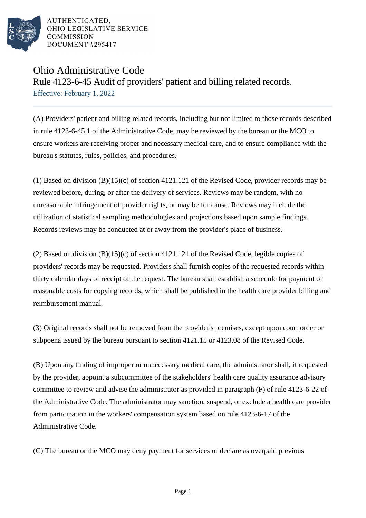

AUTHENTICATED. OHIO LEGISLATIVE SERVICE **COMMISSION** DOCUMENT #295417

## Ohio Administrative Code

Rule 4123-6-45 Audit of providers' patient and billing related records. Effective: February 1, 2022

(A) Providers' patient and billing related records, including but not limited to those records described in rule 4123-6-45.1 of the Administrative Code, may be reviewed by the bureau or the MCO to ensure workers are receiving proper and necessary medical care, and to ensure compliance with the bureau's statutes, rules, policies, and procedures.

(1) Based on division (B)(15)(c) of section 4121.121 of the Revised Code, provider records may be reviewed before, during, or after the delivery of services. Reviews may be random, with no unreasonable infringement of provider rights, or may be for cause. Reviews may include the utilization of statistical sampling methodologies and projections based upon sample findings. Records reviews may be conducted at or away from the provider's place of business.

(2) Based on division (B)(15)(c) of section 4121.121 of the Revised Code, legible copies of providers' records may be requested. Providers shall furnish copies of the requested records within thirty calendar days of receipt of the request. The bureau shall establish a schedule for payment of reasonable costs for copying records, which shall be published in the health care provider billing and reimbursement manual.

(3) Original records shall not be removed from the provider's premises, except upon court order or subpoena issued by the bureau pursuant to section 4121.15 or 4123.08 of the Revised Code.

(B) Upon any finding of improper or unnecessary medical care, the administrator shall, if requested by the provider, appoint a subcommittee of the stakeholders' health care quality assurance advisory committee to review and advise the administrator as provided in paragraph (F) of rule 4123-6-22 of the Administrative Code. The administrator may sanction, suspend, or exclude a health care provider from participation in the workers' compensation system based on rule 4123-6-17 of the Administrative Code.

(C) The bureau or the MCO may deny payment for services or declare as overpaid previous